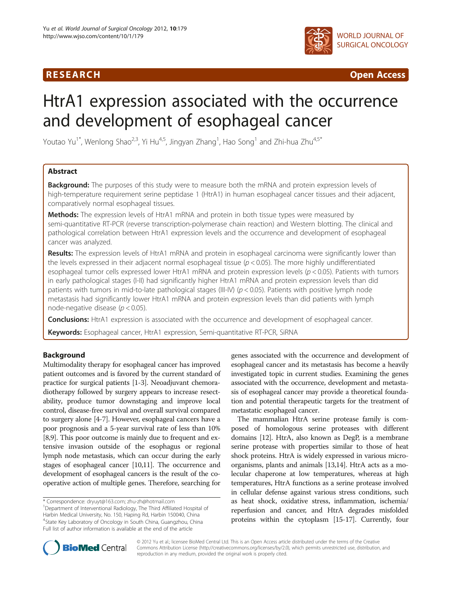## R E S EAR CH Open Access



# HtrA1 expression associated with the occurrence and development of esophageal cancer

Youtao Yu $^{1^\ast}$ , Wenlong Shao $^{2,3}$ , Yi Hu $^{4,5}$ , Jingyan Zhang $^1$ , Hao Song $^1$  and Zhi-hua Zhu $^{4,5^\ast}$ 

## Abstract

**Background:** The purposes of this study were to measure both the mRNA and protein expression levels of high-temperature requirement serine peptidase 1 (HtrA1) in human esophageal cancer tissues and their adjacent, comparatively normal esophageal tissues.

**Methods:** The expression levels of HtrA1 mRNA and protein in both tissue types were measured by semi-quantitative RT-PCR (reverse transcription-polymerase chain reaction) and Western blotting. The clinical and pathological correlation between HtrA1 expression levels and the occurrence and development of esophageal cancer was analyzed.

Results: The expression levels of HtrA1 mRNA and protein in esophageal carcinoma were significantly lower than the levels expressed in their adjacent normal esophageal tissue ( $p < 0.05$ ). The more highly undifferentiated esophageal tumor cells expressed lower HtrA1 mRNA and protein expression levels ( $p < 0.05$ ). Patients with tumors in early pathological stages (I-II) had significantly higher HtrA1 mRNA and protein expression levels than did patients with tumors in mid-to-late pathological stages (III-IV) ( $p < 0.05$ ). Patients with positive lymph node metastasis had significantly lower HtrA1 mRNA and protein expression levels than did patients with lymph node-negative disease ( $p < 0.05$ ).

Conclusions: HtrA1 expression is associated with the occurrence and development of esophageal cancer.

Keywords: Esophageal cancer, HtrA1 expression, Semi-quantitative RT-PCR, SiRNA

## Background

Multimodality therapy for esophageal cancer has improved patient outcomes and is favored by the current standard of practice for surgical patients [\[1-3](#page-7-0)]. Neoadjuvant chemoradiotherapy followed by surgery appears to increase resectability, produce tumor downstaging and improve local control, disease-free survival and overall survival compared to surgery alone [[4](#page-7-0)-[7\]](#page-7-0). However, esophageal cancers have a poor prognosis and a 5-year survival rate of less than 10% [[8](#page-7-0),[9](#page-7-0)]. This poor outcome is mainly due to frequent and extensive invasion outside of the esophagus or regional lymph node metastasis, which can occur during the early stages of esophageal cancer [\[10,11](#page-7-0)]. The occurrence and development of esophageal cancers is the result of the cooperative action of multiple genes. Therefore, searching for

genes associated with the occurrence and development of esophageal cancer and its metastasis has become a heavily investigated topic in current studies. Examining the genes associated with the occurrence, development and metastasis of esophageal cancer may provide a theoretical foundation and potential therapeutic targets for the treatment of metastatic esophageal cancer.

The mammalian HtrA serine protease family is composed of homologous serine proteases with different domains [\[12\]](#page-7-0). HtrA, also known as DegP, is a membrane serine protease with properties similar to those of heat shock proteins. HtrA is widely expressed in various microorganisms, plants and animals [[13,14\]](#page-7-0). HtrA acts as a molecular chaperone at low temperatures, whereas at high temperatures, HtrA functions as a serine protease involved in cellular defense against various stress conditions, such as heat shock, oxidative stress, inflammation, ischemia/ reperfusion and cancer, and HtrA degrades misfolded proteins within the cytoplasm [\[15-17\]](#page-7-0). Currently, four



© 2012 Yu et al.; licensee BioMed Central Ltd. This is an Open Access article distributed under the terms of the Creative Commons Attribution License [\(http://creativecommons.org/licenses/by/2.0\)](http://creativecommons.org/licenses/by/2.0), which permits unrestricted use, distribution, and reproduction in any medium, provided the original work is properly cited.

<sup>\*</sup> Correspondence: [dryuyt@163.com](mailto:dryuyt@163.com); [zhu-zh@hotmail.com](mailto:zhu--h@hotmail.com) <sup>1</sup> <sup>1</sup>Department of Interventional Radiology, The Third Affiliated Hospital of Harbin Medical University, No. 150, Haping Rd, Harbin 150040, China 4 State Key Laboratory of Oncology in South China, Guangzhou, China Full list of author information is available at the end of the article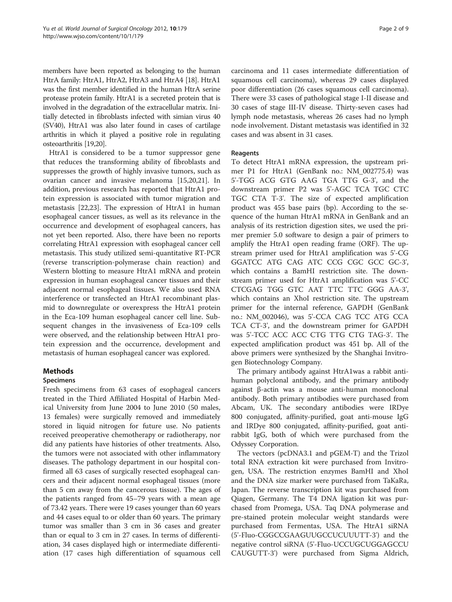members have been reported as belonging to the human HtrA family: HtrA1, HtrA2, HtrA3 and HtrA4 [\[18\]](#page-7-0). HtrA1 was the first member identified in the human HtrA serine protease protein family. HtrA1 is a secreted protein that is involved in the degradation of the extracellular matrix. Initially detected in fibroblasts infected with simian virus 40 (SV40), HtrA1 was also later found in cases of cartilage arthritis in which it played a positive role in regulating osteoarthritis [\[19,20](#page-7-0)].

HtrA1 is considered to be a tumor suppressor gene that reduces the transforming ability of fibroblasts and suppresses the growth of highly invasive tumors, such as ovarian cancer and invasive melanoma [[15,20,21](#page-7-0)]. In addition, previous research has reported that HtrA1 protein expression is associated with tumor migration and metastasis [\[22,23\]](#page-7-0). The expression of HtrA1 in human esophageal cancer tissues, as well as its relevance in the occurrence and development of esophageal cancers, has not yet been reported. Also, there have been no reports correlating HtrA1 expression with esophageal cancer cell metastasis. This study utilized semi-quantitative RT-PCR (reverse transcription-polymerase chain reaction) and Western blotting to measure HtrA1 mRNA and protein expression in human esophageal cancer tissues and their adjacent normal esophageal tissues. We also used RNA interference or transfected an HtrA1 recombinant plasmid to downregulate or overexpress the HtrA1 protein in the Eca-109 human esophageal cancer cell line. Subsequent changes in the invasiveness of Eca-109 cells were observed, and the relationship between HtrA1 protein expression and the occurrence, development and metastasis of human esophageal cancer was explored.

### Methods

### Specimens

Fresh specimens from 63 cases of esophageal cancers treated in the Third Affiliated Hospital of Harbin Medical University from June 2004 to June 2010 (50 males, 13 females) were surgically removed and immediately stored in liquid nitrogen for future use. No patients received preoperative chemotherapy or radiotherapy, nor did any patients have histories of other treatments. Also, the tumors were not associated with other inflammatory diseases. The pathology department in our hospital confirmed all 63 cases of surgically resected esophageal cancers and their adjacent normal esophageal tissues (more than 5 cm away from the cancerous tissue). The ages of the patients ranged from 45–79 years with a mean age of 73.42 years. There were 19 cases younger than 60 years and 44 cases equal to or older than 60 years. The primary tumor was smaller than 3 cm in 36 cases and greater than or equal to 3 cm in 27 cases. In terms of differentiation, 34 cases displayed high or intermediate differentiation (17 cases high differentiation of squamous cell

carcinoma and 11 cases intermediate differentiation of squamous cell carcinoma), whereas 29 cases displayed poor differentiation (26 cases squamous cell carcinoma). There were 33 cases of pathological stage I-II disease and 30 cases of stage III-IV disease. Thirty-seven cases had lymph node metastasis, whereas 26 cases had no lymph node involvement. Distant metastasis was identified in 32 cases and was absent in 31 cases.

#### Reagents

To detect HtrA1 mRNA expression, the upstream primer P1 for HtrA1 (GenBank no.: NM\_002775.4) was 5'-TGG ACG GTG AAG TGA TTG G-3', and the downstream primer P2 was 5'-AGC TCA TGC CTC TGC CTA T-3'. The size of expected amplification product was 455 base pairs (bp). According to the sequence of the human HtrA1 mRNA in GenBank and an analysis of its restriction digestion sites, we used the primer premier 5.0 software to design a pair of primers to amplify the HtrA1 open reading frame (ORF). The upstream primer used for HtrA1 amplification was 5'-CG GGATCC ATG CAG ATC CCG CGC GCC GC-3', which contains a BamHI restriction site. The downstream primer used for HtrA1 amplification was 5'-CC CTCGAG TGG GTC AAT TTC TTC GGG AA-3', which contains an XhoI restriction site. The upstream primer for the internal reference, GAPDH (GenBank no.: NM\_002046), was 5'-CCA CAG TCC ATG CCA TCA CT-3', and the downstream primer for GAPDH was 5'-TCC ACC ACC CTG TTG CTG TAG-3'. The expected amplification product was 451 bp. All of the above primers were synthesized by the Shanghai Invitrogen Biotechnology Company.

The primary antibody against HtrA1was a rabbit antihuman polyclonal antibody, and the primary antibody against β-actin was a mouse anti-human monoclonal antibody. Both primary antibodies were purchased from Abcam, UK. The secondary antibodies were IRDye 800 conjugated, affinity-purified, goat anti-mouse IgG and IRDye 800 conjugated, affinity-purified, goat antirabbit IgG, both of which were purchased from the Odyssey Corporation.

The vectors (pcDNA3.1 and pGEM-T) and the Trizol total RNA extraction kit were purchased from Invitrogen, USA. The restriction enzymes BamHI and XhoI and the DNA size marker were purchased from TaKaRa, Japan. The reverse transcription kit was purchased from Qiagen, Germany. The T4 DNA ligation kit was purchased from Promega, USA. Taq DNA polymerase and pre-stained protein molecular weight standards were purchased from Fermentas, USA. The HtrA1 siRNA (5'-Fluo-CGGCCGAAGUUGCCUCUUUTT-3') and the negative control siRNA (5'-Fluo-UCCUGCUGGAGCCU CAUGUTT-3') were purchased from Sigma Aldrich,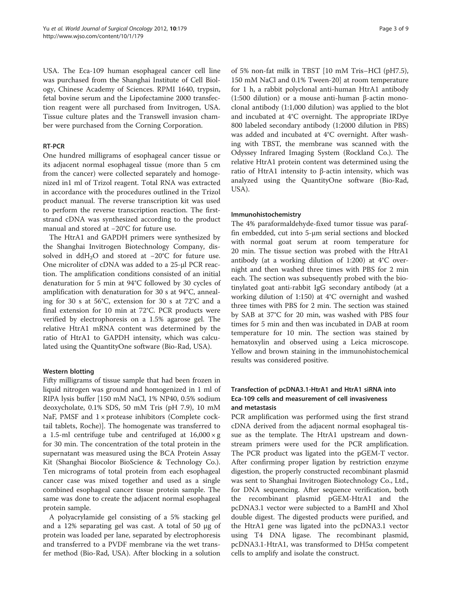USA. The Eca-109 human esophageal cancer cell line was purchased from the Shanghai Institute of Cell Biology, Chinese Academy of Sciences. RPMI 1640, trypsin, fetal bovine serum and the Lipofectamine 2000 transfection reagent were all purchased from Invitrogen, USA. Tissue culture plates and the Transwell invasion chamber were purchased from the Corning Corporation.

#### RT-PCR

One hundred milligrams of esophageal cancer tissue or its adjacent normal esophageal tissue (more than 5 cm from the cancer) were collected separately and homogenized in1 ml of Trizol reagent. Total RNA was extracted in accordance with the procedures outlined in the Trizol product manual. The reverse transcription kit was used to perform the reverse transcription reaction. The firststrand cDNA was synthesized according to the product manual and stored at −20°C for future use.

The HtrA1 and GAPDH primers were synthesized by the Shanghai Invitrogen Biotechnology Company, dissolved in ddH2O and stored at −20°C for future use. One microliter of cDNA was added to a 25-μl PCR reaction. The amplification conditions consisted of an initial denaturation for 5 min at 94°C followed by 30 cycles of amplification with denaturation for 30 s at 94°C, annealing for 30 s at 56°C, extension for 30 s at 72°C and a final extension for 10 min at 72°C. PCR products were verified by electrophoresis on a 1.5% agarose gel. The relative HtrA1 mRNA content was determined by the ratio of HtrA1 to GAPDH intensity, which was calculated using the QuantityOne software (Bio-Rad, USA).

### Western blotting

Fifty milligrams of tissue sample that had been frozen in liquid nitrogen was ground and homogenized in 1 ml of RIPA lysis buffer [150 mM NaCl, 1% NP40, 0.5% sodium deoxycholate, 0.1% SDS, 50 mM Tris (pH 7.9), 10 mM NaF, PMSF and 1 × protease inhibitors (Complete cocktail tablets, Roche)]. The homogenate was transferred to a 1.5-ml centrifuge tube and centrifuged at  $16,000 \times g$ for 30 min. The concentration of the total protein in the supernatant was measured using the BCA Protein Assay Kit (Shanghai Biocolor BioScience & Technology Co.). Ten micrograms of total protein from each esophageal cancer case was mixed together and used as a single combined esophageal cancer tissue protein sample. The same was done to create the adjacent normal esophageal protein sample.

A polyacrylamide gel consisting of a 5% stacking gel and a 12% separating gel was cast. A total of 50 μg of protein was loaded per lane, separated by electrophoresis and transferred to a PVDF membrane via the wet transfer method (Bio-Rad, USA). After blocking in a solution

of 5% non-fat milk in TBST [10 mM Tris–HCl (pH7.5), 150 mM NaCl and 0.1% Tween-20] at room temperature for 1 h, a rabbit polyclonal anti-human HtrA1 antibody (1:500 dilution) or a mouse anti-human β-actin monoclonal antibody (1:1,000 dilution) was applied to the blot and incubated at 4°C overnight. The appropriate IRDye 800 labeled secondary antibody (1:2000 dilution in PBS) was added and incubated at 4°C overnight. After washing with TBST, the membrane was scanned with the Odyssey Infrared Imaging System (Rockland Co.). The relative HtrA1 protein content was determined using the ratio of HtrA1 intensity to β-actin intensity, which was analyzed using the QuantityOne software (Bio-Rad, USA).

#### Immunohistochemistry

The 4% paraformaldehyde-fixed tumor tissue was paraffin embedded, cut into 5-μm serial sections and blocked with normal goat serum at room temperature for 20 min. The tissue section was probed with the HtrA1 antibody (at a working dilution of 1:200) at 4°C overnight and then washed three times with PBS for 2 min each. The section was subsequently probed with the biotinylated goat anti-rabbit IgG secondary antibody (at a working dilution of 1:150) at 4°C overnight and washed three times with PBS for 2 min. The section was stained by SAB at 37°C for 20 min, was washed with PBS four times for 5 min and then was incubated in DAB at room temperature for 10 min. The section was stained by hematoxylin and observed using a Leica microscope. Yellow and brown staining in the immunohistochemical results was considered positive.

## Transfection of pcDNA3.1-HtrA1 and HtrA1 siRNA into Eca-109 cells and measurement of cell invasiveness and metastasis

PCR amplification was performed using the first strand cDNA derived from the adjacent normal esophageal tissue as the template. The HtrA1 upstream and downstream primers were used for the PCR amplification. The PCR product was ligated into the pGEM-T vector. After confirming proper ligation by restriction enzyme digestion, the properly constructed recombinant plasmid was sent to Shanghai Invitrogen Biotechnology Co., Ltd., for DNA sequencing. After sequence verification, both the recombinant plasmid pGEM-HtrA1 and the pcDNA3.1 vector were subjected to a BamHI and XhoI double digest. The digested products were purified, and the HtrA1 gene was ligated into the pcDNA3.1 vector using T4 DNA ligase. The recombinant plasmid, pcDNA3.1-HtrA1, was transformed to DH5α competent cells to amplify and isolate the construct.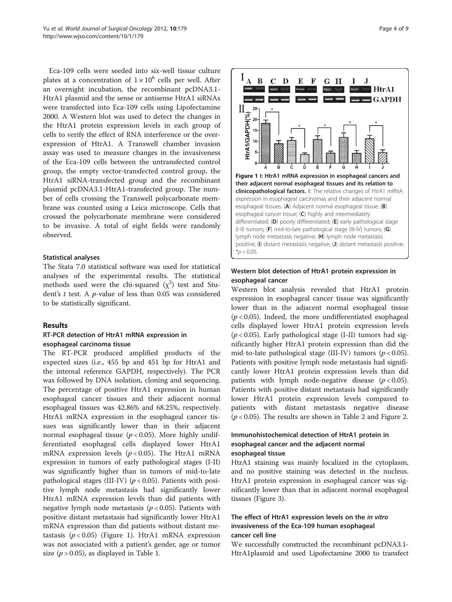Eca-109 cells were seeded into six-well tissue culture plates at a concentration of  $1 \times 10^6$  cells per well. After an overnight incubation, the recombinant pcDNA3.1- HtrA1 plasmid and the sense or antisense HtrA1 siRNAs were transfected into Eca-109 cells using Lipofectamine 2000. A Western blot was used to detect the changes in the HtrA1 protein expression levels in each group of cells to verify the effect of RNA interference or the overexpression of HtrA1. A Transwell chamber invasion assay was used to measure changes in the invasiveness of the Eca-109 cells between the untransfected control group, the empty vector-transfected control group, the HtrA1 siRNA-transfected group and the recombinant plasmid pcDNA3.1-HtrA1-transfected group. The number of cells crossing the Transwell polycarbonate membrane was counted using a Leica microscope. Cells that crossed the polycarbonate membrane were considered to be invasive. A total of eight fields were randomly observed.

#### Statistical analyses

The Stata 7.0 statistical software was used for statistical analyses of the experimental results. The statistical methods used were the chi-squared  $(\chi^2)$  test and Student's t test. A p-value of less than 0.05 was considered to be statistically significant.

#### Results

### RT-PCR detection of HtrA1 mRNA expression in esophageal carcinoma tissue

The RT-PCR produced amplified products of the expected sizes (i.e., 455 bp and 451 bp for HtrA1 and the internal reference GAPDH, respectively). The PCR was followed by DNA isolation, cloning and sequencing. The percentage of positive HtrA1 expression in human esophageal cancer tissues and their adjacent normal esophageal tissues was 42.86% and 68.25%, respectively. HtrA1 mRNA expression in the esophageal cancer tissues was significantly lower than in their adjacent normal esophageal tissue ( $p < 0.05$ ). More highly undifferentiated esophageal cells displayed lower HtrA1 mRNA expression levels ( $p < 0.05$ ). The HtrA1 mRNA expression in tumors of early pathological stages (I-II) was significantly higher than in tumors of mid-to-late pathological stages (III-IV) ( $p < 0.05$ ). Patients with positive lymph node metastasis had significantly lower HtrA1 mRNA expression levels than did patients with negative lymph node metastasis ( $p < 0.05$ ). Patients with positive distant metastasis had significantly lower HtrA1 mRNA expression than did patients without distant metastasis ( $p < 0.05$ ) (Figure 1). HtrA1 mRNA expression was not associated with a patient's gender, age or tumor size ( $p > 0.05$ ), as displayed in Table [1](#page-4-0).



### Western blot detection of HtrA1 protein expression in esophageal cancer

Western blot analysis revealed that HtrA1 protein expression in esophageal cancer tissue was significantly lower than in the adjacent normal esophageal tissue  $(p < 0.05)$ . Indeed, the more undifferentiated esophageal cells displayed lower HtrA1 protein expression levels  $(p<0.05)$ . Early pathological stage (I-II) tumors had significantly higher HtrA1 protein expression than did the mid-to-late pathological stage (III-IV) tumors ( $p < 0.05$ ). Patients with positive lymph node metastasis had significantly lower HtrA1 protein expression levels than did patients with lymph node-negative disease  $(p < 0.05)$ . Patients with positive distant metastasis had significantly lower HtrA1 protein expression levels compared to patients with distant metastasis negative disease  $(p < 0.05)$ . The results are shown in Table [2](#page-4-0) and Figure [2.](#page-5-0)

#### Immunohistochemical detection of HtrA1 protein in esophageal cancer and the adjacent normal esophageal tissue

HtrA1 staining was mainly localized in the cytoplasm, and no positive staining was detected in the nucleus. HtrA1 protein expression in esophageal cancer was significantly lower than that in adjacent normal esophageal tissues (Figure [3](#page-5-0)).

## The effect of HtrA1 expression levels on the in vitro invasiveness of the Eca-109 human esophageal cancer cell line

We successfully constructed the recombinant pcDNA3.1- HtrA1plasmid and used Lipofectamine 2000 to transfect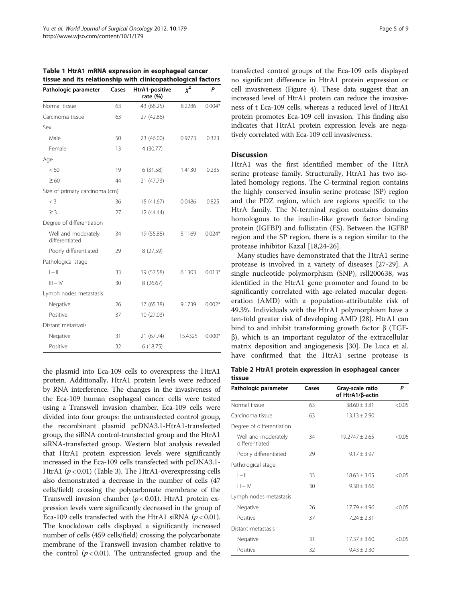| Pathologic parameter                  | Cases | HtrA1-positive<br>rate $(% )$ | $x^2$   | Ρ        |
|---------------------------------------|-------|-------------------------------|---------|----------|
| Normal tissue                         | 63    | 43 (68.25)                    | 8.2286  | $0.004*$ |
| Carcinoma tissue                      | 63    | 27 (42.86)                    |         |          |
| Sex                                   |       |                               |         |          |
| Male                                  | 50    | 23 (46.00)                    | 0.9773  | 0.323    |
| Female                                | 13    | 4 (30.77)                     |         |          |
| Age                                   |       |                               |         |          |
| < 60                                  | 19    | 6(31.58)                      | 1.4130  | 0.235    |
| $\geq 60$                             | 44    | 21 (47.73)                    |         |          |
| Size of primary carcinoma (cm)        |       |                               |         |          |
| $<$ 3                                 | 36    | 15 (41.67)                    | 0.0486  | 0.825    |
| $\geq$ 3                              | 27    | 12 (44.44)                    |         |          |
| Degree of differentiation             |       |                               |         |          |
| Well and moderately<br>differentiated | 34    | 19 (55.88)                    | 5.1169  | $0.024*$ |
| Poorly differentiated                 | 29    | 8 (27.59)                     |         |          |
| Pathological stage                    |       |                               |         |          |
| $ -  $                                | 33    | 19 (57.58)                    | 6.1303  | $0.013*$ |
| $III - IV$                            | 30    | 8(26.67)                      |         |          |
| Lymph nodes metastasis                |       |                               |         |          |
| Negative                              | 26    | 17 (65.38)                    | 9.1739  | $0.002*$ |
| Positive                              | 37    | 10 (27.03)                    |         |          |
| Distant metastasis                    |       |                               |         |          |
| Negative                              | 31    | 21 (67.74)                    | 15.4325 | $0.000*$ |
| Positive                              | 32    | 6(18.75)                      |         |          |

<span id="page-4-0"></span>

|  |  | Table 1 HtrA1 mRNA expression in esophageal cancer           |  |
|--|--|--------------------------------------------------------------|--|
|  |  | tissue and its relationship with clinicopathological factors |  |

the plasmid into Eca-109 cells to overexpress the HtrA1 protein. Additionally, HtrA1 protein levels were reduced by RNA interference. The changes in the invasiveness of the Eca-109 human esophageal cancer cells were tested using a Transwell invasion chamber. Eca-109 cells were divided into four groups: the untransfected control group, the recombinant plasmid pcDNA3.1-HtrA1-transfected group, the siRNA control-transfected group and the HtrA1 siRNA-transfected group. Western blot analysis revealed that HtrA1 protein expression levels were significantly increased in the Eca-109 cells transfected with pcDNA3.1- HtrA1 ( $p < 0.01$ ) (Table [3](#page-6-0)). The HtrA1-over expressing cells also demonstrated a decrease in the number of cells (47 cells/field) crossing the polycarbonate membrane of the Transwell invasion chamber ( $p < 0.01$ ). HtrA1 protein expression levels were significantly decreased in the group of Eca-109 cells transfected with the HtrA1 siRNA ( $p < 0.01$ ). The knockdown cells displayed a significantly increased number of cells (459 cells/field) crossing the polycarbonate membrane of the Transwell invasion chamber relative to the control  $(p < 0.01)$ . The untransfected group and the transfected control groups of the Eca-109 cells displayed no significant difference in HtrA1 protein expression or cell invasiveness (Figure [4\)](#page-6-0). These data suggest that an increased level of HtrA1 protein can reduce the invasiveness of t Eca-109 cells, whereas a reduced level of HtrA1 protein promotes Eca-109 cell invasion. This finding also indicates that HtrA1 protein expression levels are negatively correlated with Eca-109 cell invasiveness.

## Discussion

HtrA1 was the first identified member of the HtrA serine protease family. Structurally, HtrA1 has two isolated homology regions. The C-terminal region contains the highly conserved insulin serine protease (SP) region and the PDZ region, which are regions specific to the HtrA family. The N-terminal region contains domains homologous to the insulin-like growth factor binding protein (IGFBP) and follistatin (FS). Between the IGFBP region and the SP region, there is a region similar to the protease inhibitor Kazal [[18,24-26\]](#page-7-0).

Many studies have demonstrated that the HtrA1 serine protease is involved in a variety of diseases [[27-29\]](#page-7-0). A single nucleotide polymorphism (SNP), rsll200638, was identified in the HtrA1 gene promoter and found to be significantly correlated with age-related macular degeneration (AMD) with a population-attributable risk of 49.3%. Individuals with the HtrA1 polymorphism have a ten-fold greater risk of developing AMD [[28\]](#page-7-0). HtrA1 can bind to and inhibit transforming growth factor β (TGFβ), which is an important regulator of the extracellular matrix deposition and angiogenesis [[30](#page-7-0)]. De Luca et al. have confirmed that the HtrA1 serine protease is

Table 2 HtrA1 protein expression in esophageal cancer tissue

| Pathologic parameter                  | Cases | Gray-scale ratio<br>of HtrA1/β-actin | P      |
|---------------------------------------|-------|--------------------------------------|--------|
| Normal tissue                         | 63    | $38.60 + 3.81$                       | < 0.05 |
| Carcinoma tissue                      | 63    | $13.13 + 2.90$                       |        |
| Degree of differentiation             |       |                                      |        |
| Well and moderately<br>differentiated | 34    | $19.2747 + 2.65$                     | < 0.05 |
| Poorly differentiated                 | 29    | $9.17 + 3.97$                        |        |
| Pathological stage                    |       |                                      |        |
| $I - II$                              | 33    | $18.63 + 3.05$                       | < 0.05 |
| $III - IV$                            | 30    | $9.30 + 3.66$                        |        |
| Lymph nodes metastasis                |       |                                      |        |
| Negative                              | 26    | $17.79 \pm 4.96$                     | < 0.05 |
| Positive                              | 37    | $7.24 + 2.31$                        |        |
| Distant metastasis                    |       |                                      |        |
| Negative                              | 31    | $17.37 + 3.60$                       | < 0.05 |
| Positive                              | 32    | $9.43 + 2.30$                        |        |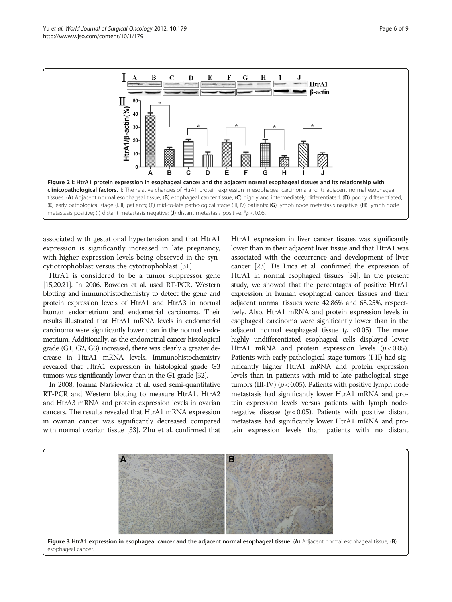<span id="page-5-0"></span>

associated with gestational hypertension and that HtrA1 expression is significantly increased in late pregnancy, with higher expression levels being observed in the syncytiotrophoblast versus the cytotrophoblast [\[31](#page-7-0)].

HtrA1 is considered to be a tumor suppressor gene [[15,20,21\]](#page-7-0). In 2006, Bowden et al. used RT-PCR, Western blotting and immunohistochemistry to detect the gene and protein expression levels of HtrA1 and HtrA3 in normal human endometrium and endometrial carcinoma. Their results illustrated that HtrA1 mRNA levels in endometrial carcinoma were significantly lower than in the normal endometrium. Additionally, as the endometrial cancer histological grade (G1, G2, G3) increased, there was clearly a greater decrease in HtrA1 mRNA levels. Immunohistochemistry revealed that HtrA1 expression in histological grade G3 tumors was significantly lower than in the G1 grade [\[32](#page-7-0)].

In 2008, Joanna Narkiewicz et al. used semi-quantitative RT-PCR and Western blotting to measure HtrA1, HtrA2 and HtrA3 mRNA and protein expression levels in ovarian cancers. The results revealed that HtrA1 mRNA expression in ovarian cancer was significantly decreased compared with normal ovarian tissue [\[33\]](#page-7-0). Zhu et al. confirmed that HtrA1 expression in liver cancer tissues was significantly lower than in their adjacent liver tissue and that HtrA1 was associated with the occurrence and development of liver cancer [\[23\]](#page-7-0). De Luca et al. confirmed the expression of HtrA1 in normal esophageal tissues [\[34\]](#page-7-0). In the present study, we showed that the percentages of positive HtrA1 expression in human esophageal cancer tissues and their adjacent normal tissues were 42.86% and 68.25%, respectively. Also, HtrA1 mRNA and protein expression levels in esophageal carcinoma were significantly lower than in the adjacent normal esophageal tissue ( $p \lt 0.05$ ). The more highly undifferentiated esophageal cells displayed lower HtrA1 mRNA and protein expression levels  $(p < 0.05)$ . Patients with early pathological stage tumors (I-II) had significantly higher HtrA1 mRNA and protein expression levels than in patients with mid-to-late pathological stage tumors (III-IV) ( $p < 0.05$ ). Patients with positive lymph node metastasis had significantly lower HtrA1 mRNA and protein expression levels versus patients with lymph nodenegative disease  $(p < 0.05)$ . Patients with positive distant metastasis had significantly lower HtrA1 mRNA and protein expression levels than patients with no distant

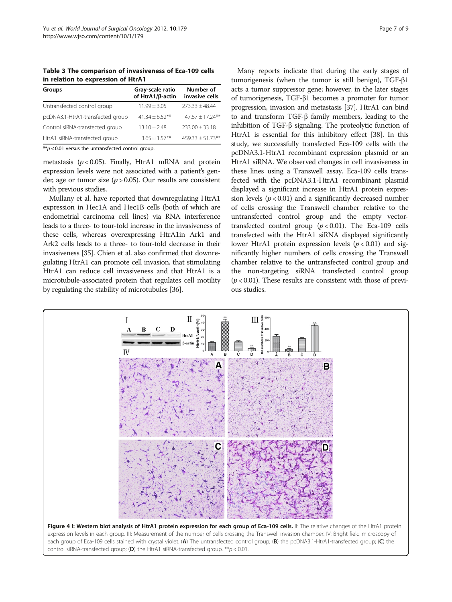<span id="page-6-0"></span>Table 3 The comparison of invasiveness of Eca-109 cells in relation to expression of HtrA1

| <b>Groups</b>                                        | Gray-scale ratio<br>of HtrA1/ß-actin | Number of<br>invasive cells |  |  |  |
|------------------------------------------------------|--------------------------------------|-----------------------------|--|--|--|
| Untransfected control group                          | $11.99 \pm 3.05$                     | $773.33 + 48.44$            |  |  |  |
| pcDNA3.1-HtrA1-transfected group                     | $41.34 + 6.52**$                     | $47.67 + 17.24***$          |  |  |  |
| Control siRNA-transfected group                      | $13.10 \pm 2.48$                     | $233.00 \pm 33.18$          |  |  |  |
| HtrA1 siRNA-transfected group                        | $3.65 \pm 1.57***$                   | $459.33 \pm 51.73$ **       |  |  |  |
| $* p$ < 0.01 versus the untransfected control group. |                                      |                             |  |  |  |

metastasis ( $p < 0.05$ ). Finally, HtrA1 mRNA and protein expression levels were not associated with a patient's gender, age or tumor size  $(p > 0.05)$ . Our results are consistent with previous studies.

Mullany et al. have reported that downregulating HtrA1 expression in Hec1A and Hec1B cells (both of which are endometrial carcinoma cell lines) via RNA interference leads to a three- to four-fold increase in the invasiveness of these cells, whereas overexpressing HtrA1in Ark1 and Ark2 cells leads to a three- to four-fold decrease in their invasiveness [[35](#page-7-0)]. Chien et al. also confirmed that downregulating HtrA1 can promote cell invasion, that stimulating HtrA1 can reduce cell invasiveness and that HtrA1 is a microtubule-associated protein that regulates cell motility by regulating the stability of microtubules [[36](#page-8-0)].

Many reports indicate that during the early stages of tumorigenesis (when the tumor is still benign), TGF-β1 acts a tumor suppressor gene; however, in the later stages of tumorigenesis, TGF-β1 becomes a promoter for tumor progression, invasion and metastasis [[37](#page-8-0)]. HtrA1 can bind to and transform TGF-β family members, leading to the inhibition of TGF-β signaling. The proteolytic function of HtrA1 is essential for this inhibitory effect [[38](#page-8-0)]. In this study, we successfully transfected Eca-109 cells with the pcDNA3.1-HtrA1 recombinant expression plasmid or an HtrA1 siRNA. We observed changes in cell invasiveness in these lines using a Transwell assay. Eca-109 cells transfected with the pcDNA3.1-HtrA1 recombinant plasmid displayed a significant increase in HtrA1 protein expression levels ( $p < 0.01$ ) and a significantly decreased number of cells crossing the Transwell chamber relative to the untransfected control group and the empty vectortransfected control group  $(p < 0.01)$ . The Eca-109 cells transfected with the HtrA1 siRNA displayed significantly lower HtrA1 protein expression levels  $(p < 0.01)$  and significantly higher numbers of cells crossing the Transwell chamber relative to the untransfected control group and the non-targeting siRNA transfected control group  $(p < 0.01)$ . These results are consistent with those of previous studies.

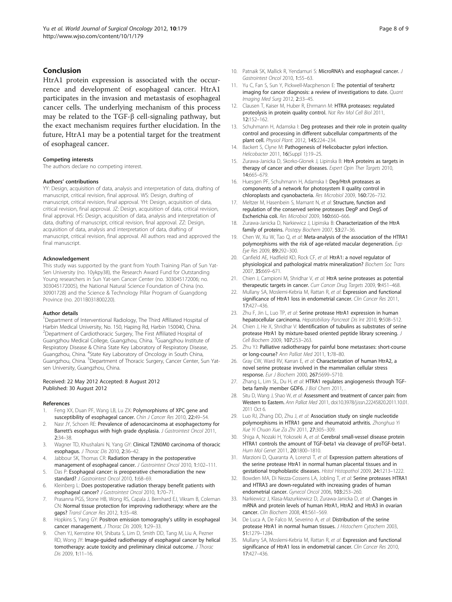#### <span id="page-7-0"></span>Conclusion

HtrA1 protein expression is associated with the occurrence and development of esophageal cancer. HtrA1 participates in the invasion and metastasis of esophageal cancer cells. The underlying mechanism of this process may be related to the TGF-β cell-signaling pathway, but the exact mechanism requires further elucidation. In the future, HtrA1 may be a potential target for the treatment of esophageal cancer.

#### Competing interests

The authors declare no competing interest.

#### Authors' contributions

YY: Design, acquisition of data, analysis and interpretation of data, drafting of manuscript, critical revision, final approval. WS: Design, drafting of manuscript, critical revision, final approval. YH: Design, acquisition of data, critical revision, final approval. JZ: Design, acquisition of data, critical revision, final approval. HS: Design, acquisition of data, analysis and interpretation of data, drafting of manuscript, critical revision, final approval. ZZ: Design, acquisition of data, analysis and interpretation of data, drafting of manuscript, critical revision, final approval. All authors read and approved the final manuscript.

#### Acknowledgement

This study was supported by the grant from Youth Training Plan of Sun Yat-Sen University (no. 10ykpy38), the Research Award Fund for Outstanding Young researchers in Sun Yat-sen Cancer Center (no. 303045172006; no. 303045172005), the National Natural Science Foundation of China (no. 30901728) and the Science & Technology Pillar Program of Guangdong Province (no. 2011B031800220).

#### Author details

<sup>1</sup>Department of Interventional Radiology, The Third Affiliated Hospital of Harbin Medical University, No. 150, Haping Rd, Harbin 150040, China. <sup>2</sup>Department of Cardiothoracic Surgery, The First Affiliated Hospital of Guangzhou Medical College, Guangzhou, China. <sup>3</sup>Guangzhou Institute of Respiratory Disease & China State Key Laboratory of Respiratory Disease, Guangzhou, China. <sup>4</sup>State Key Laboratory of Oncology in South China, Guangzhou, China. <sup>5</sup>Department of Thoracic Surgery, Cancer Center, Sun Yatsen University, Guangzhou, China.

#### Received: 22 May 2012 Accepted: 8 August 2012 Published: 30 August 2012

#### References

- 1. Feng XX, Duan PF, Wang LB, Lu ZX: Polymorphisms of XPC gene and susceptibility of esophageal cancer. Chin J Cancer Res 2010, 22:49-54.
- Nasr JY, Schoen RE: Prevalence of adenocarcinoma at esophagectomy for Barrett's esophagus with high grade dysplasia. J Gastrointest Oncol 2011, 2:34–38.
- 3. Wagner TD, Khushalani N, Yang GY: Clinical T2N0M0 carcinoma of thoracic esophagus. J Thorac Dis 2010, 2:36–42.
- 4. Jabbour SK, Thomas CR: Radiation therapy in the postoperative
- management of esophageal cancer. J Gastrointest Oncol 2010, 1:102-111. 5. Das P: Esophageal cancer: is preoperative chemoradiation the new standard? J Gastrointest Oncol 2010, 1:68-69.
- 6. Kleinberg L: Does postoperative radiation therapy benefit patients with esophageal cancer? J Gastrointest Oncol 2010, 1:70–71.
- 7. Prasanna PGS, Stone HB, Wong RS, Capala J, Bernhard EJ, Vikram B, Coleman CN: Normal tissue protection for improving radiotherapy: where are the gaps? Transl Cancer Res 2012, 1:35–48.
- Hopkins S, Yang GY: Positron emission tomography's utility in esophageal cancer management. J Thorac Dis 2009, 1:29–33.
- 9. Chen YJ, Kernstine KH, Shibata S, Lim D, Smith DD, Tang M, Liu A, Pezner RD, Wong JY: Image-guided radiotherapy of esophageal cancer by helical tomotherapy: acute toxicity and preliminary clinical outcome. J Thorac Dis 2009, 1:11–16.
- 10. Patnaik SK, Mallick R, Yendamuri S: MicroRNA's and esophageal cancer. J Gastrointest Oncol 2010, 1:55–63.
- 11. Yu C, Fan S, Sun Y, Pickwell-Macpherson E: The potential of terahertz imaging for cancer diagnosis: a review of investigations to date. *Quant* Imaging Med Surg 2012, 2:33–45.
- 12. Clausen T, Kaiser M, Huber R, Ehrmann M: HTRA proteases: regulated proteolysis in protein quality control. Nat Rev Mol Cell Biol 2011, 12:152–162.
- 13. Schuhmann H, Adamska I: Deg proteases and their role in protein quality control and processing in different subcellular compartments of the plant cell. Physiol Plant. 2012, 145:224–234.
- 14. Backert S, Clyne M: Pathogenesis of Helicobacter pylori infection. Helicobacter 2011, 16(Suppl 1):19–25.
- 15. Zurawa-Janicka D, Skorko-Glonek J, Lipinska B: HtrA proteins as targets in therapy of cancer and other diseases. Expert Opin Ther Targets 2010, 14:665–679.
- 16. Huesgen PF, Schuhmann H, Adamska I: Deg/HtrA proteases as components of a network for photosystem II quality control in chloroplasts and cyanobacteria. Res Microbiol 2009, 160:726–732.
- 17. Meltzer M, Hasenbein S, Mamant N, et al: Structure, function and regulation of the conserved serine proteases DegP and DegS of Escherichia coli. Res Microbiol 2009, 160:660–666.
- 18. Zurawa-Janicka D, Narkiewicz J, Lipinska B: Characterization of the HtrA family of proteins. Postepy Biochem 2007, 53:27-36.
- 19. Chen W, Xu W, Tao Q, et al: Meta-analysis of the association of the HTRA1 polymorphisms with the risk of age-related macular degeneration. Exp Eye Res 2009, 89:292–300.
- 20. Canfield AE, Hadfield KD, Rock CF, et al: HtrA1: a novel regulator of physiological and pathological matrix mineralization? Biochem Soc Trans 2007, 35:669–671.
- 21. Chien J, Campioni M, Shridhar V, et al: HtrA serine proteases as potential therapeutic targets in cancer. Curr Cancer Drug Targets 2009, 9:451-468.
- 22. Mullany SA, Moslemi-Kebria M, Rattan R, et al: Expression and functional significance of HtrA1 loss in endometrial cancer. Clin Cancer Res 2011, 17:427–436.
- 23. Zhu F, Jin L, Luo TP, et al: Serine protease HtrA1 expression in human hepatocellular carcinoma. Hepatobiliary Pancreat Dis Int 2010, 9:508-512.
- 24. Chien J, He X, Shridhar V: Identification of tubulins as substrates of serine protease HtrA1 by mixture-based oriented peptide library screening. J Cell Biochem 2009, 107:253–263.
- 25. Zhu YJ: Palliative radiotherapy for painful bone metastases: short-course or long-course? Ann Palliat Med 2011, 1:78–80.
- 26. Gray CW, Ward RV, Karran E, et al: Characterization of human HtrA2, a novel serine protease involved in the mammalian cellular stress response. Eur J Biochem 2000, 267:5699–5710.
- 27. Zhang L, Lim SL, Du H, et al: HTRA1 regulates angiogenesis through TGFbeta family member GDF6. J Biol Chem 2011,
- 28. Situ D, Wang J, Shao W, et al: Assessment and treatment of cancer pain: from Western to Eastern. Ann Palliat Med 2011, doi[:10.3978/j.issn.22245820.2011.10.01.](http://dx.doi.org/10.3978/j.issn.22245820.2011.10.01) 2011 Oct 6.
- 29. Luo RJ, Zhang DD, Zhu J, et al: Association study on single nucleotide polymorphisms in HTRA1 gene and rheumatoid arthritis. Zhonghua Yi Xue Yi Chuan Xue Za Zhi 2011, 27:305–309.
- 30. Shiga A, Nozaki H, Yokoseki A, et al: Cerebral small-vessel disease protein HTRA1 controls the amount of TGF-beta1 via cleavage of proTGF-beta1. Hum Mol Genet 2011, 20:1800–1810.
- 31. Marzioni D, Quaranta A, Lorenzi T, et al: Expression pattern alterations of the serine protease HtrA1 in normal human placental tissues and in gestational trophoblastic diseases. Histol Histopathol 2009, 24:1213–1222.
- 32. Bowden MA, Di Nezza-Cossens LA, Jobling T, et al: Serine proteases HTRA1 and HTRA3 are down-regulated with increasing grades of human endometrial cancer. Gynecol Oncol 2006, 103:253–260.
- 33. Narkiewicz J, Klasa-Mazurkiewicz D, Zurawa-Janicka D, et al: Changes in mRNA and protein levels of human HtrA1, HtrA2 and HtrA3 in ovarian cancer. Clin Biochem 2008, 41:561–569.
- 34. De Luca A, De Falco M, Severino A, et al: Distribution of the serine protease HtrA1 in normal human tissues. J Histochem Cytochem 2003, 51:1279–1284.
- 35. Mullany SA, Moslemi-Kebria M, Rattan R, et al: Expression and functional significance of HtrA1 loss in endometrial cancer. Clin Cancer Res 2010, 17:427–436.